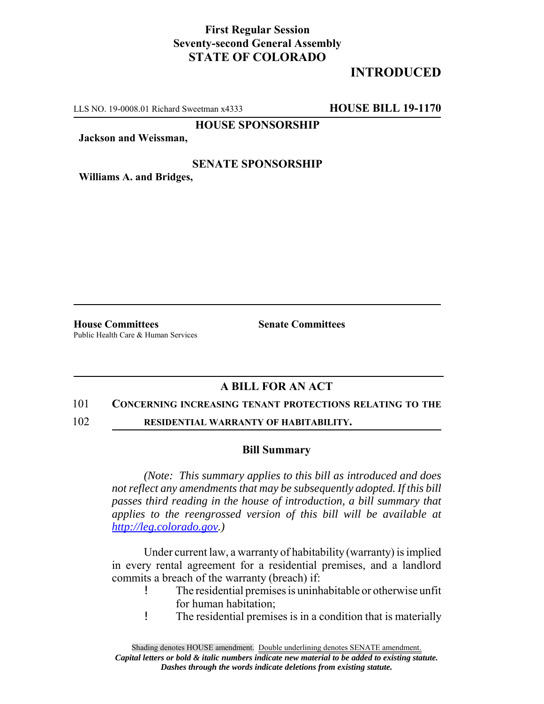## **First Regular Session Seventy-second General Assembly STATE OF COLORADO**

# **INTRODUCED**

LLS NO. 19-0008.01 Richard Sweetman x4333 **HOUSE BILL 19-1170**

**HOUSE SPONSORSHIP**

**Jackson and Weissman,**

### **SENATE SPONSORSHIP**

**Williams A. and Bridges,**

**House Committees Senate Committees** Public Health Care & Human Services

## **A BILL FOR AN ACT**

#### 101 **CONCERNING INCREASING TENANT PROTECTIONS RELATING TO THE**

102 **RESIDENTIAL WARRANTY OF HABITABILITY.**

#### **Bill Summary**

*(Note: This summary applies to this bill as introduced and does not reflect any amendments that may be subsequently adopted. If this bill passes third reading in the house of introduction, a bill summary that applies to the reengrossed version of this bill will be available at http://leg.colorado.gov.)*

Under current law, a warranty of habitability (warranty) is implied in every rental agreement for a residential premises, and a landlord commits a breach of the warranty (breach) if:

- ! The residential premises is uninhabitable or otherwise unfit for human habitation;
- ! The residential premises is in a condition that is materially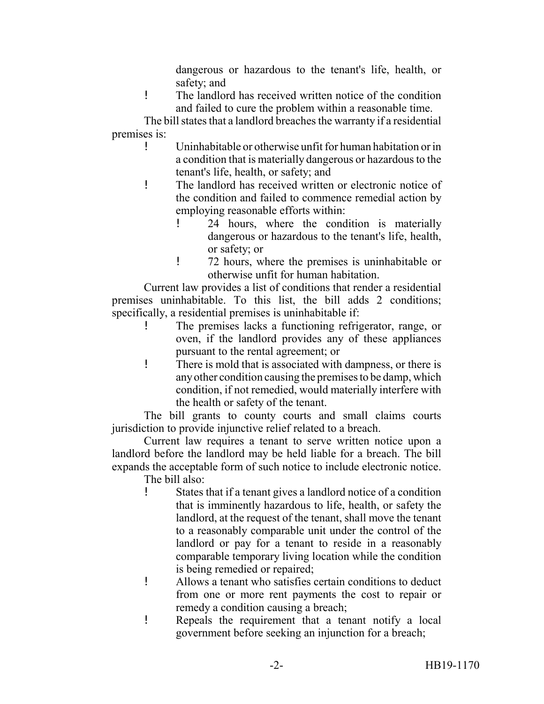dangerous or hazardous to the tenant's life, health, or safety; and

! The landlord has received written notice of the condition and failed to cure the problem within a reasonable time.

The bill states that a landlord breaches the warranty if a residential premises is:

- ! Uninhabitable or otherwise unfit for human habitation or in a condition that is materially dangerous or hazardous to the tenant's life, health, or safety; and
- ! The landlord has received written or electronic notice of the condition and failed to commence remedial action by employing reasonable efforts within:
	- ! 24 hours, where the condition is materially dangerous or hazardous to the tenant's life, health, or safety; or
	- ! 72 hours, where the premises is uninhabitable or otherwise unfit for human habitation.

Current law provides a list of conditions that render a residential premises uninhabitable. To this list, the bill adds 2 conditions; specifically, a residential premises is uninhabitable if:

- ! The premises lacks a functioning refrigerator, range, or oven, if the landlord provides any of these appliances pursuant to the rental agreement; or
- ! There is mold that is associated with dampness, or there is any other condition causing the premises to be damp, which condition, if not remedied, would materially interfere with the health or safety of the tenant.

The bill grants to county courts and small claims courts jurisdiction to provide injunctive relief related to a breach.

Current law requires a tenant to serve written notice upon a landlord before the landlord may be held liable for a breach. The bill expands the acceptable form of such notice to include electronic notice.

The bill also:

- ! States that if a tenant gives a landlord notice of a condition that is imminently hazardous to life, health, or safety the landlord, at the request of the tenant, shall move the tenant to a reasonably comparable unit under the control of the landlord or pay for a tenant to reside in a reasonably comparable temporary living location while the condition is being remedied or repaired;
- ! Allows a tenant who satisfies certain conditions to deduct from one or more rent payments the cost to repair or remedy a condition causing a breach;
- ! Repeals the requirement that a tenant notify a local government before seeking an injunction for a breach;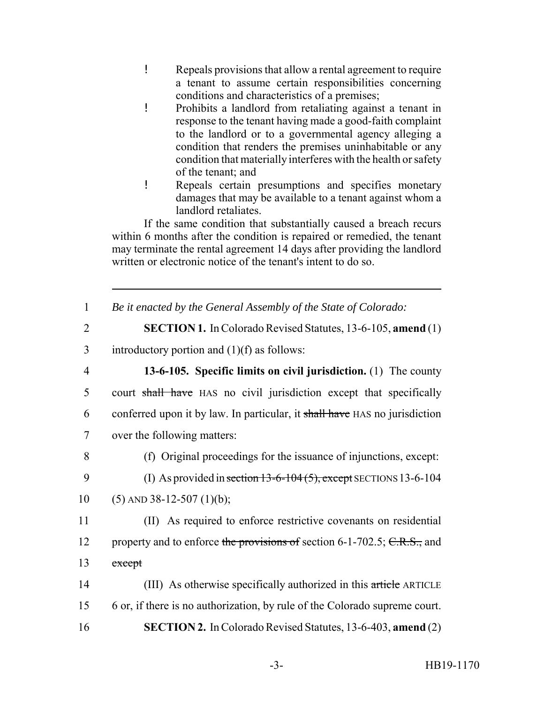- ! Repeals provisions that allow a rental agreement to require a tenant to assume certain responsibilities concerning conditions and characteristics of a premises;
- ! Prohibits a landlord from retaliating against a tenant in response to the tenant having made a good-faith complaint to the landlord or to a governmental agency alleging a condition that renders the premises uninhabitable or any condition that materially interferes with the health or safety of the tenant; and
- ! Repeals certain presumptions and specifies monetary damages that may be available to a tenant against whom a landlord retaliates.

If the same condition that substantially caused a breach recurs within 6 months after the condition is repaired or remedied, the tenant may terminate the rental agreement 14 days after providing the landlord written or electronic notice of the tenant's intent to do so.

| Be it enacted by the General Assembly of the State of Colorado: |  |  |  |
|-----------------------------------------------------------------|--|--|--|
|                                                                 |  |  |  |

- 2 **SECTION 1.** In Colorado Revised Statutes, 13-6-105, **amend** (1)
- 3 introductory portion and  $(1)(f)$  as follows:
- 

 **13-6-105. Specific limits on civil jurisdiction.** (1) The county court shall have HAS no civil jurisdiction except that specifically conferred upon it by law. In particular, it shall have HAS no jurisdiction over the following matters:

8 (f) Original proceedings for the issuance of injunctions, except:

- 9 (I) As provided in section 13-6-104 (5), except SECTIONS 13-6-104
- 10 (5) AND 38-12-507 (1)(b);

11 (II) As required to enforce restrictive covenants on residential 12 property and to enforce the provisions of section 6-1-702.5; C.R.S., and 13 except

14 (III) As otherwise specifically authorized in this article ARTICLE 15 6 or, if there is no authorization, by rule of the Colorado supreme court. 16 **SECTION 2.** In Colorado Revised Statutes, 13-6-403, **amend** (2)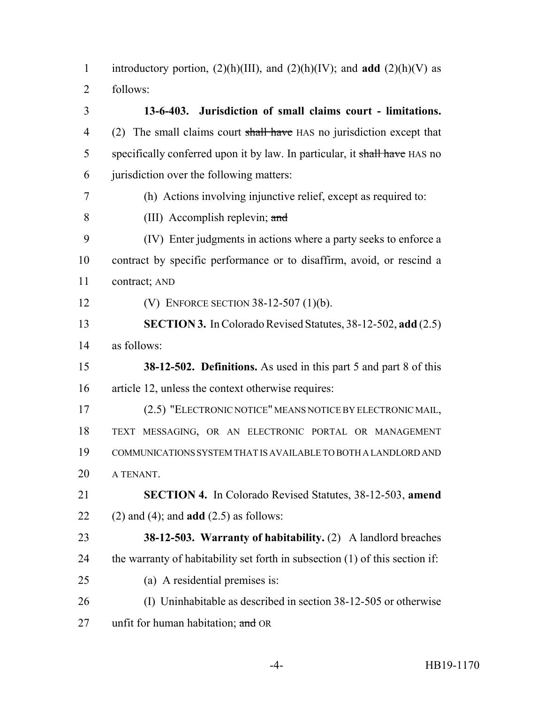introductory portion, (2)(h)(III), and (2)(h)(IV); and **add** (2)(h)(V) as follows:

 **13-6-403. Jurisdiction of small claims court - limitations.** 4 (2) The small claims court shall have HAS no jurisdiction except that 5 specifically conferred upon it by law. In particular, it shall have HAS no jurisdiction over the following matters: (h) Actions involving injunctive relief, except as required to: (III) Accomplish replevin; and (IV) Enter judgments in actions where a party seeks to enforce a contract by specific performance or to disaffirm, avoid, or rescind a contract; AND (V) ENFORCE SECTION 38-12-507 (1)(b). **SECTION 3.** In Colorado Revised Statutes, 38-12-502, **add** (2.5) as follows: **38-12-502. Definitions.** As used in this part 5 and part 8 of this article 12, unless the context otherwise requires: (2.5) "ELECTRONIC NOTICE" MEANS NOTICE BY ELECTRONIC MAIL, TEXT MESSAGING, OR AN ELECTRONIC PORTAL OR MANAGEMENT COMMUNICATIONS SYSTEM THAT IS AVAILABLE TO BOTH A LANDLORD AND A TENANT. **SECTION 4.** In Colorado Revised Statutes, 38-12-503, **amend** (2) and (4); and **add** (2.5) as follows: **38-12-503. Warranty of habitability.** (2) A landlord breaches the warranty of habitability set forth in subsection (1) of this section if: (a) A residential premises is: (I) Uninhabitable as described in section 38-12-505 or otherwise 27 unfit for human habitation; and OR

-4- HB19-1170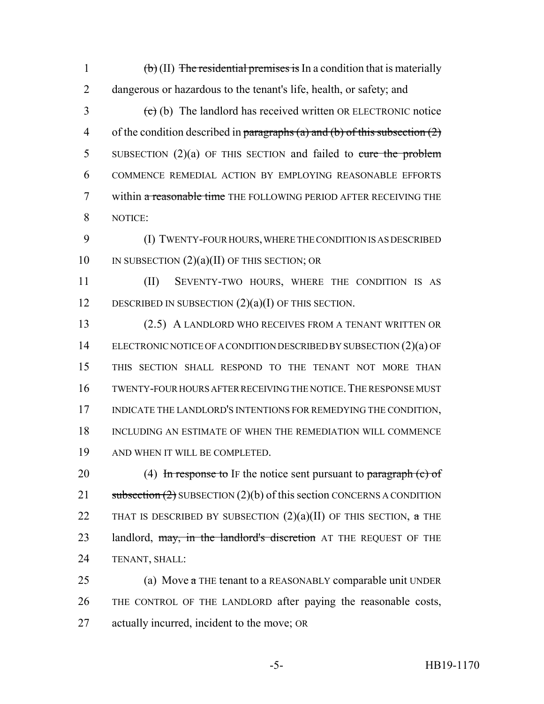1  $\left(b\right)$  (II) The residential premises is In a condition that is materially 2 dangerous or hazardous to the tenant's life, health, or safety; and  $\left( \frac{1}{2} \right)$  (b) The landlord has received written OR ELECTRONIC notice 4 of the condition described in paragraphs (a) and (b) of this subsection  $(2)$ 

5 SUBSECTION  $(2)(a)$  OF THIS SECTION and failed to cure the problem 6 COMMENCE REMEDIAL ACTION BY EMPLOYING REASONABLE EFFORTS 7 within a reasonable time THE FOLLOWING PERIOD AFTER RECEIVING THE 8 NOTICE:

9 (I) TWENTY-FOUR HOURS, WHERE THE CONDITION IS AS DESCRIBED 10 IN SUBSECTION  $(2)(a)(II)$  OF THIS SECTION; OR

11 (II) SEVENTY-TWO HOURS, WHERE THE CONDITION IS AS 12 DESCRIBED IN SUBSECTION  $(2)(a)(I)$  OF THIS SECTION.

 (2.5) A LANDLORD WHO RECEIVES FROM A TENANT WRITTEN OR ELECTRONIC NOTICE OF A CONDITION DESCRIBED BY SUBSECTION (2)(a) OF THIS SECTION SHALL RESPOND TO THE TENANT NOT MORE THAN TWENTY-FOUR HOURS AFTER RECEIVING THE NOTICE.THE RESPONSE MUST INDICATE THE LANDLORD'S INTENTIONS FOR REMEDYING THE CONDITION, INCLUDING AN ESTIMATE OF WHEN THE REMEDIATION WILL COMMENCE AND WHEN IT WILL BE COMPLETED.

20 (4) In response to IF the notice sent pursuant to paragraph  $(c)$  of 21 subsection  $(2)$  SUBSECTION  $(2)(b)$  of this section CONCERNS A CONDITION 22 THAT IS DESCRIBED BY SUBSECTION  $(2)(a)(II)$  OF THIS SECTION,  $\alpha$  THE 23 landlord, may, in the landlord's discretion AT THE REQUEST OF THE 24 TENANT, SHALL:

25 (a) Move  $\alpha$  THE tenant to a REASONABLY comparable unit UNDER 26 THE CONTROL OF THE LANDLORD after paying the reasonable costs, 27 actually incurred, incident to the move; OR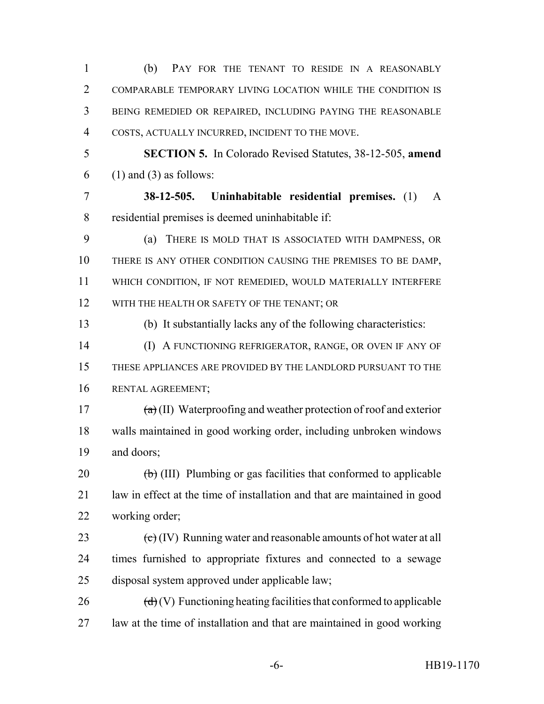| 1              | (b)<br>PAY FOR THE TENANT TO RESIDE IN A REASONABLY                                       |  |  |  |  |  |  |
|----------------|-------------------------------------------------------------------------------------------|--|--|--|--|--|--|
| $\overline{2}$ | COMPARABLE TEMPORARY LIVING LOCATION WHILE THE CONDITION IS                               |  |  |  |  |  |  |
| 3              | BEING REMEDIED OR REPAIRED, INCLUDING PAYING THE REASONABLE                               |  |  |  |  |  |  |
| $\overline{4}$ | COSTS, ACTUALLY INCURRED, INCIDENT TO THE MOVE.                                           |  |  |  |  |  |  |
| 5              | <b>SECTION 5.</b> In Colorado Revised Statutes, 38-12-505, amend                          |  |  |  |  |  |  |
| 6              | $(1)$ and $(3)$ as follows:                                                               |  |  |  |  |  |  |
| $\overline{7}$ | 38-12-505. Uninhabitable residential premises. (1)<br>$\mathsf{A}$                        |  |  |  |  |  |  |
| 8              | residential premises is deemed uninhabitable if:                                          |  |  |  |  |  |  |
| 9              | THERE IS MOLD THAT IS ASSOCIATED WITH DAMPNESS, OR<br>(a)                                 |  |  |  |  |  |  |
| 10             | THERE IS ANY OTHER CONDITION CAUSING THE PREMISES TO BE DAMP,                             |  |  |  |  |  |  |
| 11             | WHICH CONDITION, IF NOT REMEDIED, WOULD MATERIALLY INTERFERE                              |  |  |  |  |  |  |
| 12             | WITH THE HEALTH OR SAFETY OF THE TENANT; OR                                               |  |  |  |  |  |  |
| 13             | (b) It substantially lacks any of the following characteristics:                          |  |  |  |  |  |  |
| 14             | (I) A FUNCTIONING REFRIGERATOR, RANGE, OR OVEN IF ANY OF                                  |  |  |  |  |  |  |
| 15             | THESE APPLIANCES ARE PROVIDED BY THE LANDLORD PURSUANT TO THE                             |  |  |  |  |  |  |
| 16             | RENTAL AGREEMENT;                                                                         |  |  |  |  |  |  |
| 17             | $\left(\frac{a}{b}\right)$ (II) Waterproofing and weather protection of roof and exterior |  |  |  |  |  |  |
| 18             | walls maintained in good working order, including unbroken windows                        |  |  |  |  |  |  |
| 19             | and doors;                                                                                |  |  |  |  |  |  |
| 20             | $\left(\frac{b}{c}\right)$ (III) Plumbing or gas facilities that conformed to applicable  |  |  |  |  |  |  |
| 21             | law in effect at the time of installation and that are maintained in good                 |  |  |  |  |  |  |
| 22             | working order;                                                                            |  |  |  |  |  |  |
| 23             | $\left(\frac{e}{c}\right)$ (IV) Running water and reasonable amounts of hot water at all  |  |  |  |  |  |  |
| 24             | times furnished to appropriate fixtures and connected to a sewage                         |  |  |  |  |  |  |
| 25             | disposal system approved under applicable law;                                            |  |  |  |  |  |  |
| 26             | $\left(\frac{d}{d}\right)(V)$ Functioning heating facilities that conformed to applicable |  |  |  |  |  |  |
| 27             | law at the time of installation and that are maintained in good working                   |  |  |  |  |  |  |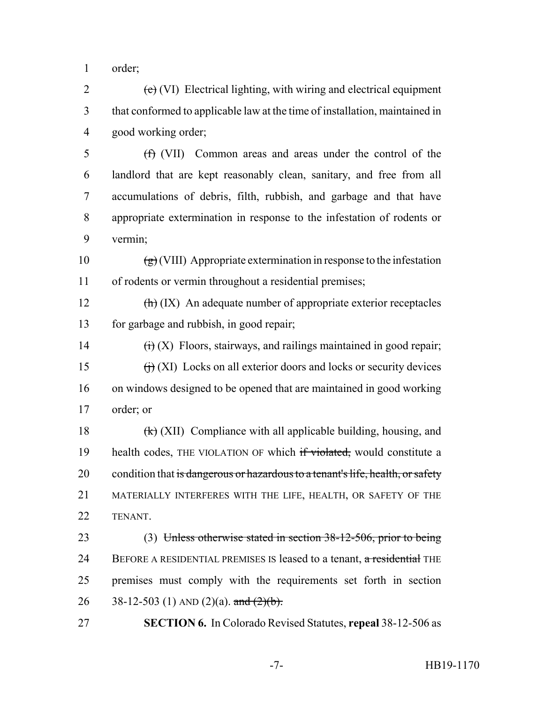order;

 $2 \left( e \right)$  (VI) Electrical lighting, with wiring and electrical equipment that conformed to applicable law at the time of installation, maintained in good working order;

 (f) (VII) Common areas and areas under the control of the landlord that are kept reasonably clean, sanitary, and free from all accumulations of debris, filth, rubbish, and garbage and that have appropriate extermination in response to the infestation of rodents or vermin;

10  $\left(\frac{g}{g}\right)$  (VIII) Appropriate extermination in response to the infestation of rodents or vermin throughout a residential premises;

12  $\left(\frac{h}{h}\right)$  (IX) An adequate number of appropriate exterior receptacles for garbage and rubbish, in good repair;

 $(i)$  (X) Floors, stairways, and railings maintained in good repair;  $(i)$  (XI) Locks on all exterior doors and locks or security devices on windows designed to be opened that are maintained in good working order; or

18  $\left(\frac{1}{k}\right)$  (XII) Compliance with all applicable building, housing, and 19 health codes, THE VIOLATION OF which if violated, would constitute a 20 condition that is dangerous or hazardous to a tenant's life, health, or safety MATERIALLY INTERFERES WITH THE LIFE, HEALTH, OR SAFETY OF THE TENANT.

 (3) Unless otherwise stated in section 38-12-506, prior to being 24 BEFORE A RESIDENTIAL PREMISES IS leased to a tenant, a residential THE premises must comply with the requirements set forth in section 26 38-12-503 (1) AND (2)(a). and  $(2)(b)$ .

**SECTION 6.** In Colorado Revised Statutes, **repeal** 38-12-506 as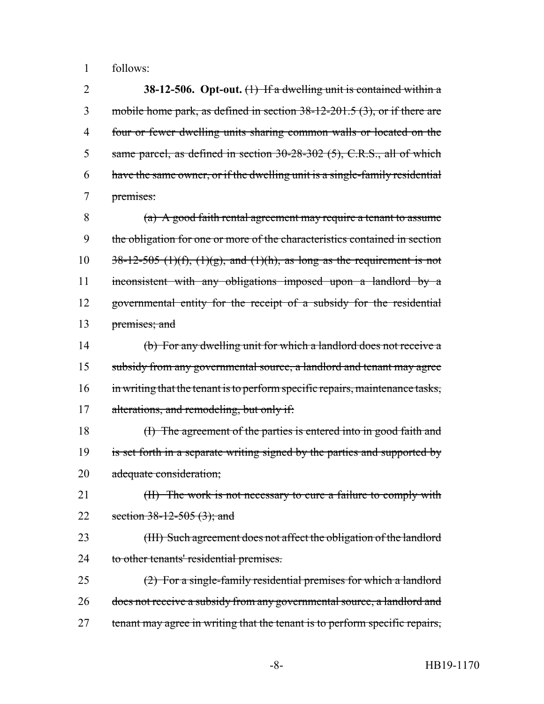1 follows:

 **38-12-506. Opt-out.** (1) If a dwelling unit is contained within a 3 mobile home park, as defined in section 38-12-201.5 (3), or if there are four or fewer dwelling units sharing common walls or located on the same parcel, as defined in section 30-28-302 (5), C.R.S., all of which have the same owner, or if the dwelling unit is a single-family residential premises:

 (a) A good faith rental agreement may require a tenant to assume the obligation for one or more of the characteristics contained in section  $38-12-505$  (1)(f), (1)(g), and (1)(h), as long as the requirement is not inconsistent with any obligations imposed upon a landlord by a governmental entity for the receipt of a subsidy for the residential 13 premises; and

14 (b) For any dwelling unit for which a landlord does not receive a 15 subsidy from any governmental source, a landlord and tenant may agree 16 in writing that the tenant is to perform specific repairs, maintenance tasks, 17 alterations, and remodeling, but only if:

18 (I) The agreement of the parties is entered into in good faith and 19 is set forth in a separate writing signed by the parties and supported by 20 adequate consideration;

21 (II) The work is not necessary to cure a failure to comply with 22 section 38-12-505 (3); and

23 (III) Such agreement does not affect the obligation of the landlord 24 to other tenants' residential premises.

25 (2) For a single-family residential premises for which a landlord 26 does not receive a subsidy from any governmental source, a landlord and 27 tenant may agree in writing that the tenant is to perform specific repairs,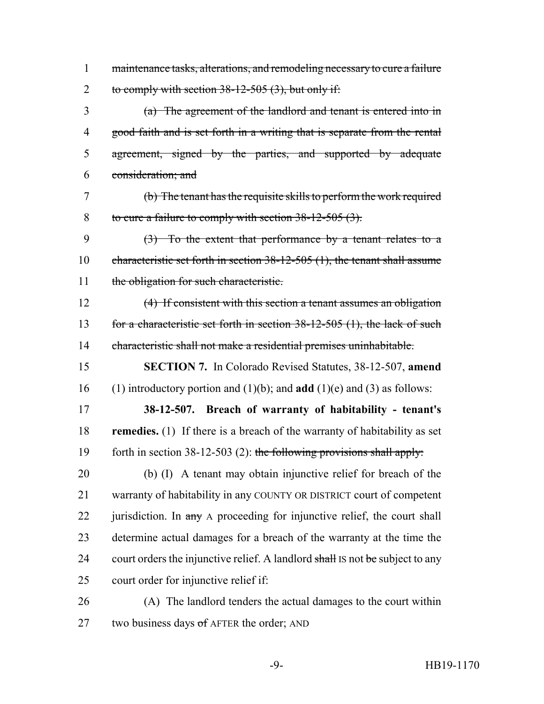1 maintenance tasks, alterations, and remodeling necessary to cure a failure 2 to comply with section  $38-12-505$  (3), but only if:

 (a) The agreement of the landlord and tenant is entered into in good faith and is set forth in a writing that is separate from the rental agreement, signed by the parties, and supported by adequate consideration; and

 (b) The tenant has the requisite skills to perform the work required 8 to cure a failure to comply with section 38-12-505 (3).

 (3) To the extent that performance by a tenant relates to a characteristic set forth in section 38-12-505 (1), the tenant shall assume 11 the obligation for such characteristic.

 (4) If consistent with this section a tenant assumes an obligation 13 for a characteristic set forth in section 38-12-505 (1), the lack of such characteristic shall not make a residential premises uninhabitable.

 **SECTION 7.** In Colorado Revised Statutes, 38-12-507, **amend** (1) introductory portion and (1)(b); and **add** (1)(e) and (3) as follows:

 **38-12-507. Breach of warranty of habitability - tenant's remedies.** (1) If there is a breach of the warranty of habitability as set 19 forth in section  $38-12-503$  (2): the following provisions shall apply:

 (b) (I) A tenant may obtain injunctive relief for breach of the warranty of habitability in any COUNTY OR DISTRICT court of competent 22 jurisdiction. In  $\frac{1}{2}$  any A proceeding for injunctive relief, the court shall determine actual damages for a breach of the warranty at the time the 24 court orders the injunctive relief. A landlord shall IS not be subject to any court order for injunctive relief if:

 (A) The landlord tenders the actual damages to the court within 27 two business days  $\sigma$ f AFTER the order; AND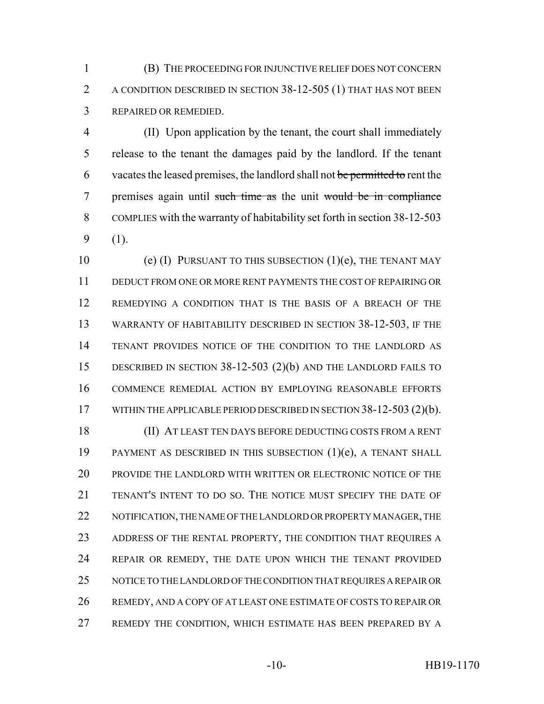(B) THE PROCEEDING FOR INJUNCTIVE RELIEF DOES NOT CONCERN A CONDITION DESCRIBED IN SECTION 38-12-505 (1) THAT HAS NOT BEEN REPAIRED OR REMEDIED.

 (II) Upon application by the tenant, the court shall immediately release to the tenant the damages paid by the landlord. If the tenant 6 vacates the leased premises, the landlord shall not be permitted to rent the premises again until such time as the unit would be in compliance COMPLIES with the warranty of habitability set forth in section 38-12-503 (1).

10 (e) (I) PURSUANT TO THIS SUBSECTION  $(1)(e)$ , THE TENANT MAY DEDUCT FROM ONE OR MORE RENT PAYMENTS THE COST OF REPAIRING OR REMEDYING A CONDITION THAT IS THE BASIS OF A BREACH OF THE WARRANTY OF HABITABILITY DESCRIBED IN SECTION 38-12-503, IF THE TENANT PROVIDES NOTICE OF THE CONDITION TO THE LANDLORD AS DESCRIBED IN SECTION 38-12-503 (2)(b) AND THE LANDLORD FAILS TO COMMENCE REMEDIAL ACTION BY EMPLOYING REASONABLE EFFORTS 17 WITHIN THE APPLICABLE PERIOD DESCRIBED IN SECTION 38-12-503 (2)(b).

 (II) AT LEAST TEN DAYS BEFORE DEDUCTING COSTS FROM A RENT PAYMENT AS DESCRIBED IN THIS SUBSECTION (1)(e), A TENANT SHALL PROVIDE THE LANDLORD WITH WRITTEN OR ELECTRONIC NOTICE OF THE TENANT'S INTENT TO DO SO. THE NOTICE MUST SPECIFY THE DATE OF 22 NOTIFICATION, THE NAME OF THE LANDLORD OR PROPERTY MANAGER, THE 23 ADDRESS OF THE RENTAL PROPERTY, THE CONDITION THAT REQUIRES A REPAIR OR REMEDY, THE DATE UPON WHICH THE TENANT PROVIDED NOTICE TO THE LANDLORD OF THE CONDITION THAT REQUIRES A REPAIR OR REMEDY, AND A COPY OF AT LEAST ONE ESTIMATE OF COSTS TO REPAIR OR REMEDY THE CONDITION, WHICH ESTIMATE HAS BEEN PREPARED BY A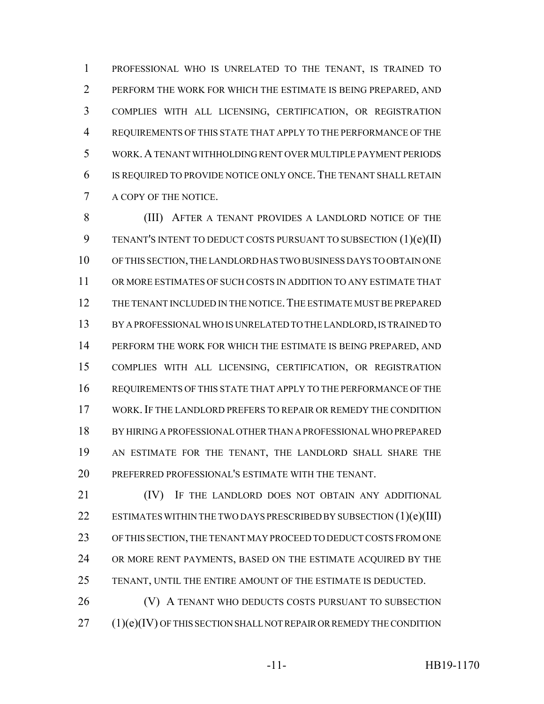PROFESSIONAL WHO IS UNRELATED TO THE TENANT, IS TRAINED TO PERFORM THE WORK FOR WHICH THE ESTIMATE IS BEING PREPARED, AND COMPLIES WITH ALL LICENSING, CERTIFICATION, OR REGISTRATION REQUIREMENTS OF THIS STATE THAT APPLY TO THE PERFORMANCE OF THE WORK.A TENANT WITHHOLDING RENT OVER MULTIPLE PAYMENT PERIODS IS REQUIRED TO PROVIDE NOTICE ONLY ONCE.THE TENANT SHALL RETAIN A COPY OF THE NOTICE.

8 (III) AFTER A TENANT PROVIDES A LANDLORD NOTICE OF THE TENANT'S INTENT TO DEDUCT COSTS PURSUANT TO SUBSECTION (1)(e)(II) OF THIS SECTION, THE LANDLORD HAS TWO BUSINESS DAYS TO OBTAIN ONE OR MORE ESTIMATES OF SUCH COSTS IN ADDITION TO ANY ESTIMATE THAT THE TENANT INCLUDED IN THE NOTICE.THE ESTIMATE MUST BE PREPARED BY A PROFESSIONAL WHO IS UNRELATED TO THE LANDLORD, IS TRAINED TO PERFORM THE WORK FOR WHICH THE ESTIMATE IS BEING PREPARED, AND COMPLIES WITH ALL LICENSING, CERTIFICATION, OR REGISTRATION REQUIREMENTS OF THIS STATE THAT APPLY TO THE PERFORMANCE OF THE WORK.IF THE LANDLORD PREFERS TO REPAIR OR REMEDY THE CONDITION BY HIRING A PROFESSIONAL OTHER THAN A PROFESSIONAL WHO PREPARED AN ESTIMATE FOR THE TENANT, THE LANDLORD SHALL SHARE THE PREFERRED PROFESSIONAL'S ESTIMATE WITH THE TENANT.

**(IV)** IF THE LANDLORD DOES NOT OBTAIN ANY ADDITIONAL 22 ESTIMATES WITHIN THE TWO DAYS PRESCRIBED BY SUBSECTION (1)(e)(III) OF THIS SECTION, THE TENANT MAY PROCEED TO DEDUCT COSTS FROM ONE 24 OR MORE RENT PAYMENTS, BASED ON THE ESTIMATE ACQUIRED BY THE TENANT, UNTIL THE ENTIRE AMOUNT OF THE ESTIMATE IS DEDUCTED.

**(V)** A TENANT WHO DEDUCTS COSTS PURSUANT TO SUBSECTION (1)(e)(IV) OF THIS SECTION SHALL NOT REPAIR OR REMEDY THE CONDITION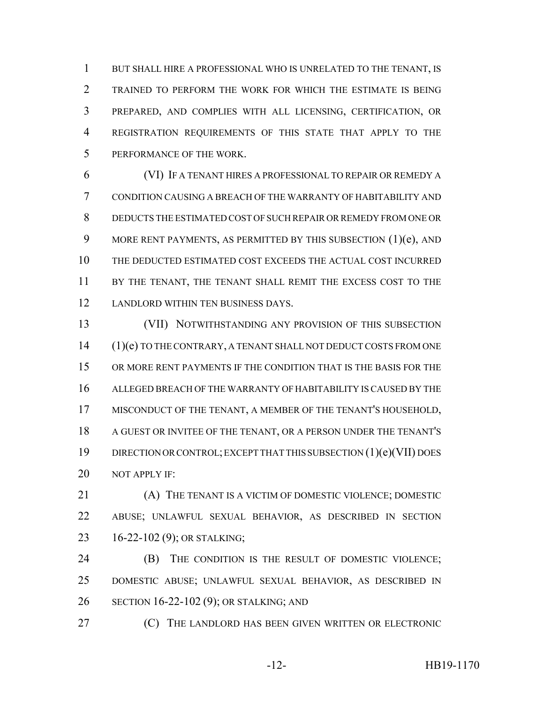BUT SHALL HIRE A PROFESSIONAL WHO IS UNRELATED TO THE TENANT, IS TRAINED TO PERFORM THE WORK FOR WHICH THE ESTIMATE IS BEING PREPARED, AND COMPLIES WITH ALL LICENSING, CERTIFICATION, OR REGISTRATION REQUIREMENTS OF THIS STATE THAT APPLY TO THE PERFORMANCE OF THE WORK.

 (VI) IF A TENANT HIRES A PROFESSIONAL TO REPAIR OR REMEDY A CONDITION CAUSING A BREACH OF THE WARRANTY OF HABITABILITY AND DEDUCTS THE ESTIMATED COST OF SUCH REPAIR OR REMEDY FROM ONE OR 9 MORE RENT PAYMENTS, AS PERMITTED BY THIS SUBSECTION (1)(e), AND THE DEDUCTED ESTIMATED COST EXCEEDS THE ACTUAL COST INCURRED 11 BY THE TENANT, THE TENANT SHALL REMIT THE EXCESS COST TO THE LANDLORD WITHIN TEN BUSINESS DAYS.

 (VII) NOTWITHSTANDING ANY PROVISION OF THIS SUBSECTION 14 (1)(e) TO THE CONTRARY, A TENANT SHALL NOT DEDUCT COSTS FROM ONE OR MORE RENT PAYMENTS IF THE CONDITION THAT IS THE BASIS FOR THE ALLEGED BREACH OF THE WARRANTY OF HABITABILITY IS CAUSED BY THE MISCONDUCT OF THE TENANT, A MEMBER OF THE TENANT'S HOUSEHOLD, A GUEST OR INVITEE OF THE TENANT, OR A PERSON UNDER THE TENANT'S DIRECTION OR CONTROL; EXCEPT THAT THIS SUBSECTION (1)(e)(VII) DOES 20 NOT APPLY IF:

 (A) THE TENANT IS A VICTIM OF DOMESTIC VIOLENCE; DOMESTIC ABUSE; UNLAWFUL SEXUAL BEHAVIOR, AS DESCRIBED IN SECTION 16-22-102 (9); OR STALKING;

 (B) THE CONDITION IS THE RESULT OF DOMESTIC VIOLENCE; DOMESTIC ABUSE; UNLAWFUL SEXUAL BEHAVIOR, AS DESCRIBED IN SECTION 16-22-102 (9); OR STALKING; AND

**(C)** THE LANDLORD HAS BEEN GIVEN WRITTEN OR ELECTRONIC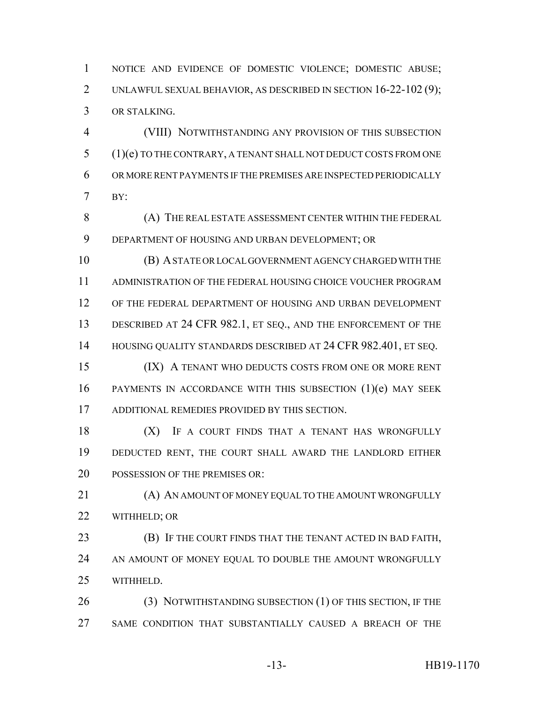NOTICE AND EVIDENCE OF DOMESTIC VIOLENCE; DOMESTIC ABUSE; UNLAWFUL SEXUAL BEHAVIOR, AS DESCRIBED IN SECTION 16-22-102 (9); OR STALKING.

 (VIII) NOTWITHSTANDING ANY PROVISION OF THIS SUBSECTION (1)(e) TO THE CONTRARY, A TENANT SHALL NOT DEDUCT COSTS FROM ONE OR MORE RENT PAYMENTS IF THE PREMISES ARE INSPECTED PERIODICALLY BY:

 (A) THE REAL ESTATE ASSESSMENT CENTER WITHIN THE FEDERAL DEPARTMENT OF HOUSING AND URBAN DEVELOPMENT; OR

 (B) A STATE OR LOCAL GOVERNMENT AGENCY CHARGED WITH THE ADMINISTRATION OF THE FEDERAL HOUSING CHOICE VOUCHER PROGRAM OF THE FEDERAL DEPARTMENT OF HOUSING AND URBAN DEVELOPMENT 13 DESCRIBED AT 24 CFR 982.1, ET SEQ., AND THE ENFORCEMENT OF THE 14 HOUSING QUALITY STANDARDS DESCRIBED AT 24 CFR 982.401, ET SEQ.

15 (IX) A TENANT WHO DEDUCTS COSTS FROM ONE OR MORE RENT PAYMENTS IN ACCORDANCE WITH THIS SUBSECTION (1)(e) MAY SEEK ADDITIONAL REMEDIES PROVIDED BY THIS SECTION.

18 (X) IF A COURT FINDS THAT A TENANT HAS WRONGFULLY DEDUCTED RENT, THE COURT SHALL AWARD THE LANDLORD EITHER 20 POSSESSION OF THE PREMISES OR:

21 (A) AN AMOUNT OF MONEY EQUAL TO THE AMOUNT WRONGFULLY WITHHELD; OR

 (B) IF THE COURT FINDS THAT THE TENANT ACTED IN BAD FAITH, 24 AN AMOUNT OF MONEY EQUAL TO DOUBLE THE AMOUNT WRONGFULLY WITHHELD.

26 (3) NOTWITHSTANDING SUBSECTION (1) OF THIS SECTION, IF THE SAME CONDITION THAT SUBSTANTIALLY CAUSED A BREACH OF THE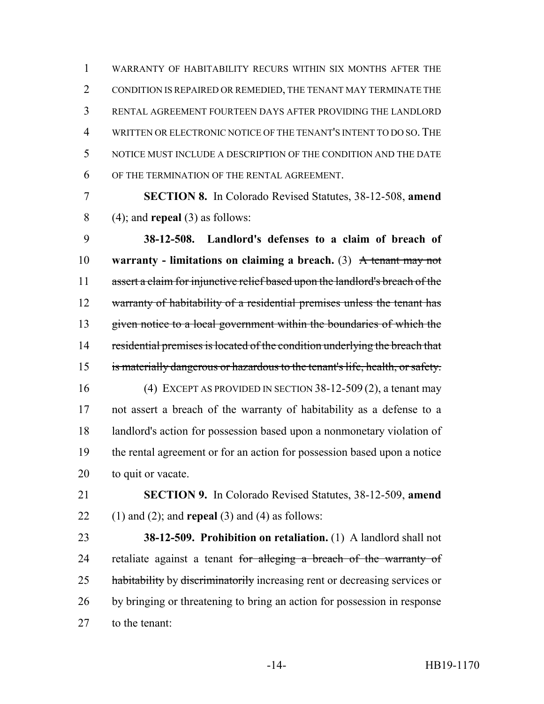WARRANTY OF HABITABILITY RECURS WITHIN SIX MONTHS AFTER THE CONDITION IS REPAIRED OR REMEDIED, THE TENANT MAY TERMINATE THE RENTAL AGREEMENT FOURTEEN DAYS AFTER PROVIDING THE LANDLORD WRITTEN OR ELECTRONIC NOTICE OF THE TENANT'S INTENT TO DO SO.THE NOTICE MUST INCLUDE A DESCRIPTION OF THE CONDITION AND THE DATE OF THE TERMINATION OF THE RENTAL AGREEMENT.

 **SECTION 8.** In Colorado Revised Statutes, 38-12-508, **amend** (4); and **repeal** (3) as follows:

 **38-12-508. Landlord's defenses to a claim of breach of warranty - limitations on claiming a breach.** (3) A tenant may not 11 assert a claim for injunctive relief based upon the landlord's breach of the 12 warranty of habitability of a residential premises unless the tenant has given notice to a local government within the boundaries of which the 14 residential premises is located of the condition underlying the breach that is materially dangerous or hazardous to the tenant's life, health, or safety. (4) EXCEPT AS PROVIDED IN SECTION 38-12-509 (2), a tenant may not assert a breach of the warranty of habitability as a defense to a landlord's action for possession based upon a nonmonetary violation of the rental agreement or for an action for possession based upon a notice to quit or vacate.

 **SECTION 9.** In Colorado Revised Statutes, 38-12-509, **amend** (1) and (2); and **repeal** (3) and (4) as follows:

 **38-12-509. Prohibition on retaliation.** (1) A landlord shall not 24 retaliate against a tenant for alleging a breach of the warranty of 25 habitability by discriminatorily increasing rent or decreasing services or by bringing or threatening to bring an action for possession in response to the tenant: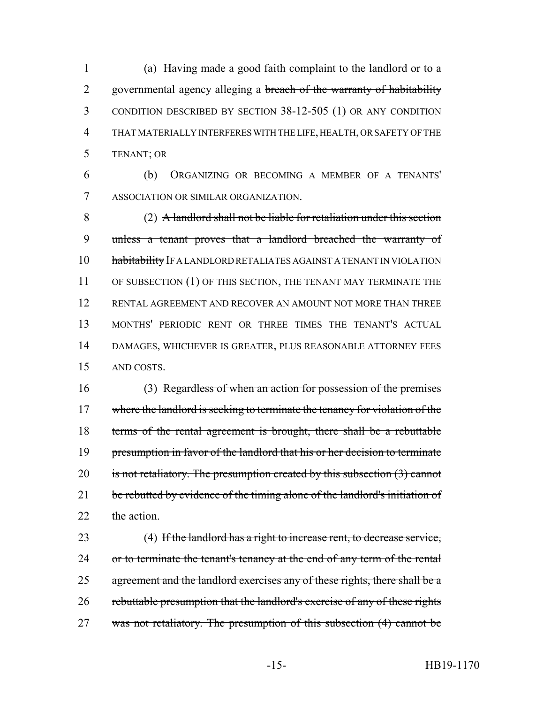(a) Having made a good faith complaint to the landlord or to a 2 governmental agency alleging a breach of the warranty of habitability CONDITION DESCRIBED BY SECTION 38-12-505 (1) OR ANY CONDITION THAT MATERIALLY INTERFERES WITH THE LIFE, HEALTH, OR SAFETY OF THE TENANT; OR

6 (b) ORGANIZING OR BECOMING A MEMBER OF A TENANTS' 7 ASSOCIATION OR SIMILAR ORGANIZATION.

 (2) A landlord shall not be liable for retaliation under this section unless a tenant proves that a landlord breached the warranty of 10 habitability IF A LANDLORD RETALIATES AGAINST A TENANT IN VIOLATION 11 OF SUBSECTION (1) OF THIS SECTION, THE TENANT MAY TERMINATE THE RENTAL AGREEMENT AND RECOVER AN AMOUNT NOT MORE THAN THREE MONTHS' PERIODIC RENT OR THREE TIMES THE TENANT'S ACTUAL DAMAGES, WHICHEVER IS GREATER, PLUS REASONABLE ATTORNEY FEES AND COSTS.

16 (3) Regardless of when an action for possession of the premises 17 where the landlord is seeking to terminate the tenancy for violation of the 18 terms of the rental agreement is brought, there shall be a rebuttable 19 presumption in favor of the landlord that his or her decision to terminate 20 is not retaliatory. The presumption created by this subsection (3) cannot 21 be rebutted by evidence of the timing alone of the landlord's initiation of 22 the action.

23 (4) If the landlord has a right to increase rent, to decrease service, 24 or to terminate the tenant's tenancy at the end of any term of the rental 25 agreement and the landlord exercises any of these rights, there shall be a 26 rebuttable presumption that the landlord's exercise of any of these rights 27 was not retaliatory. The presumption of this subsection (4) cannot be